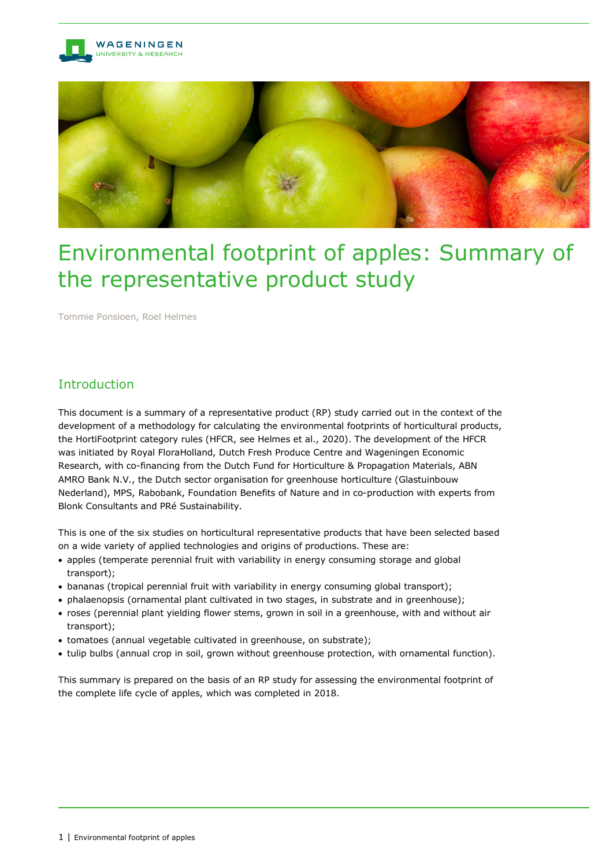



# Environmental footprint of apples: Summary of the representative product study

Tommie Ponsioen, Roel Helmes

# Introduction

This document is a summary of a representative product (RP) study carried out in the context of the development of a methodology for calculating the environmental footprints of horticultural products, the HortiFootprint category rules (HFCR, see Helmes et al., 2020). The development of the HFCR was initiated by Royal FloraHolland, Dutch Fresh Produce Centre and Wageningen Economic Research, with co-financing from the Dutch Fund for Horticulture & Propagation Materials, ABN AMRO Bank N.V., the Dutch sector organisation for greenhouse horticulture (Glastuinbouw Nederland), MPS, Rabobank, Foundation Benefits of Nature and in co-production with experts from Blonk Consultants and PRé Sustainability.

This is one of the six studies on horticultural representative products that have been selected based on a wide variety of applied technologies and origins of productions. These are:

- apples (temperate perennial fruit with variability in energy consuming storage and global transport);
- bananas (tropical perennial fruit with variability in energy consuming global transport);
- phalaenopsis (ornamental plant cultivated in two stages, in substrate and in greenhouse);
- roses (perennial plant yielding flower stems, grown in soil in a greenhouse, with and without air transport);
- tomatoes (annual vegetable cultivated in greenhouse, on substrate);
- tulip bulbs (annual crop in soil, grown without greenhouse protection, with ornamental function).

This summary is prepared on the basis of an RP study for assessing the environmental footprint of the complete life cycle of apples, which was completed in 2018.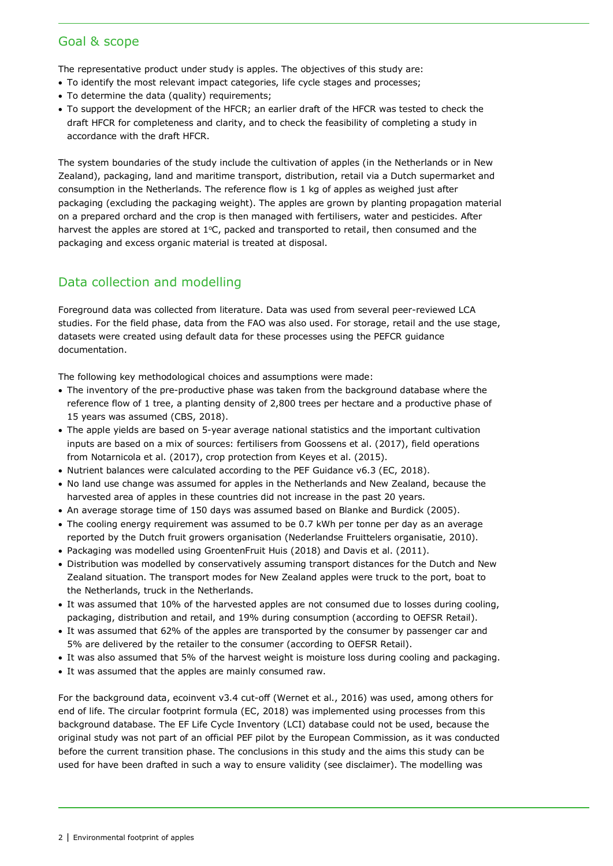#### Goal & scope

The representative product under study is apples. The objectives of this study are:

- To identify the most relevant impact categories, life cycle stages and processes;
- To determine the data (quality) requirements;
- To support the development of the HFCR; an earlier draft of the HFCR was tested to check the draft HFCR for completeness and clarity, and to check the feasibility of completing a study in accordance with the draft HFCR.

The system boundaries of the study include the cultivation of apples (in the Netherlands or in New Zealand), packaging, land and maritime transport, distribution, retail via a Dutch supermarket and consumption in the Netherlands. The reference flow is 1 kg of apples as weighed just after packaging (excluding the packaging weight). The apples are grown by planting propagation material on a prepared orchard and the crop is then managed with fertilisers, water and pesticides. After harvest the apples are stored at  $1^{\circ}$ C, packed and transported to retail, then consumed and the packaging and excess organic material is treated at disposal.

### Data collection and modelling

Foreground data was collected from literature. Data was used from several peer-reviewed LCA studies. For the field phase, data from the FAO was also used. For storage, retail and the use stage, datasets were created using default data for these processes using the PEFCR guidance documentation.

The following key methodological choices and assumptions were made:

- The inventory of the pre-productive phase was taken from the background database where the reference flow of 1 tree, a planting density of 2,800 trees per hectare and a productive phase of 15 years was assumed (CBS, 2018).
- The apple yields are based on 5-year average national statistics and the important cultivation inputs are based on a mix of sources: fertilisers from Goossens et al. (2017), field operations from Notarnicola et al. (2017), crop protection from Keyes et al. (2015).
- Nutrient balances were calculated according to the PEF Guidance v6.3 (EC, 2018).
- No land use change was assumed for apples in the Netherlands and New Zealand, because the harvested area of apples in these countries did not increase in the past 20 years.
- An average storage time of 150 days was assumed based on Blanke and Burdick (2005).
- The cooling energy requirement was assumed to be 0.7 kWh per tonne per day as an average reported by the Dutch fruit growers organisation (Nederlandse Fruittelers organisatie, 2010).
- Packaging was modelled using GroentenFruit Huis (2018) and Davis et al. (2011).
- Distribution was modelled by conservatively assuming transport distances for the Dutch and New Zealand situation. The transport modes for New Zealand apples were truck to the port, boat to the Netherlands, truck in the Netherlands.
- It was assumed that 10% of the harvested apples are not consumed due to losses during cooling, packaging, distribution and retail, and 19% during consumption (according to OEFSR Retail).
- It was assumed that 62% of the apples are transported by the consumer by passenger car and 5% are delivered by the retailer to the consumer (according to OEFSR Retail).
- It was also assumed that 5% of the harvest weight is moisture loss during cooling and packaging.
- It was assumed that the apples are mainly consumed raw.

For the background data, ecoinvent v3.4 cut-off (Wernet et al., 2016) was used, among others for end of life. The circular footprint formula (EC, 2018) was implemented using processes from this background database. The EF Life Cycle Inventory (LCI) database could not be used, because the original study was not part of an official PEF pilot by the European Commission, as it was conducted before the current transition phase. The conclusions in this study and the aims this study can be used for have been drafted in such a way to ensure validity (see disclaimer). The modelling was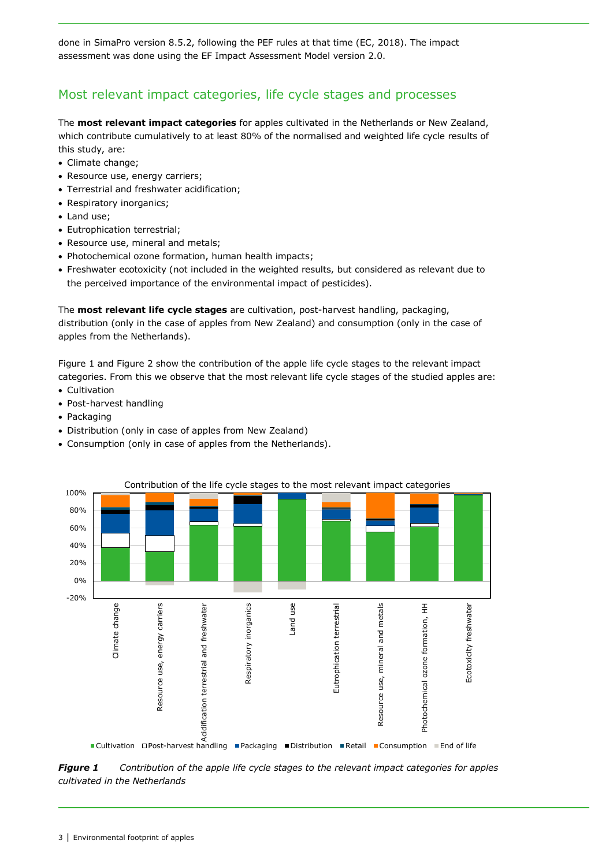done in SimaPro version 8.5.2, following the PEF rules at that time (EC, 2018). The impact assessment was done using the EF Impact Assessment Model version 2.0.

# Most relevant impact categories, life cycle stages and processes

The **most relevant impact categories** for apples cultivated in the Netherlands or New Zealand, which contribute cumulatively to at least 80% of the normalised and weighted life cycle results of this study, are:

- Climate change;
- Resource use, energy carriers;
- Terrestrial and freshwater acidification;
- Respiratory inorganics;
- Land use;
- Eutrophication terrestrial;
- Resource use, mineral and metals:
- Photochemical ozone formation, human health impacts;
- Freshwater ecotoxicity (not included in the weighted results, but considered as relevant due to the perceived importance of the environmental impact of pesticides).

The **most relevant life cycle stages** are cultivation, post-harvest handling, packaging, distribution (only in the case of apples from New Zealand) and consumption (only in the case of apples from the Netherlands).

[Figure](#page-2-0) 1 and [Figure](#page-3-0) 2 show the contribution of the apple life cycle stages to the relevant impact categories. From this we observe that the most relevant life cycle stages of the studied apples are:

- Cultivation
- Post-harvest handling
- Packaging
- Distribution (only in case of apples from New Zealand)
- Consumption (only in case of apples from the Netherlands).



<span id="page-2-0"></span>*Figure 1 Contribution of the apple life cycle stages to the relevant impact categories for apples cultivated in the Netherlands*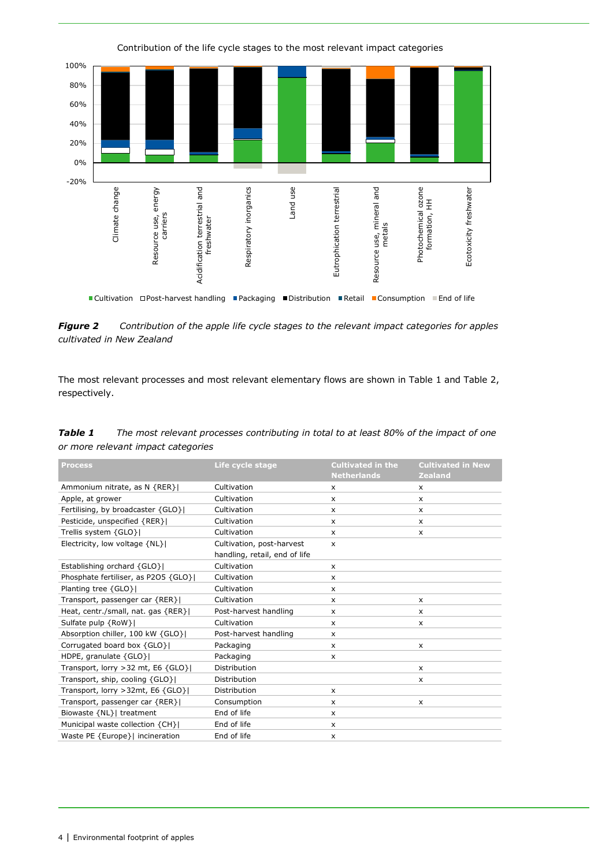<span id="page-3-0"></span>

*Figure 2 Contribution of the apple life cycle stages to the relevant impact categories for apples cultivated in New Zealand*

The most relevant processes and most relevant elementary flows are shown in [Table](#page-3-1) 1 and [Table](#page-3-2) 2, respectively.

<span id="page-3-1"></span>

| <b>Table 1</b> | The most relevant processes contributing in total to at least 80% of the impact of one |
|----------------|----------------------------------------------------------------------------------------|
|                | or more relevant impact categories                                                     |

<span id="page-3-2"></span>

| <b>Process</b>                         | Life cycle stage              | <b>Cultivated in the</b><br><b>Netherlands</b> | <b>Cultivated in New</b><br><b>Zealand</b> |
|----------------------------------------|-------------------------------|------------------------------------------------|--------------------------------------------|
| Ammonium nitrate, as N {RER}           | Cultivation                   | $\boldsymbol{\mathsf{x}}$                      | X                                          |
| Apple, at grower                       | Cultivation                   | X                                              | $\mathsf{x}$                               |
| Fertilising, by broadcaster {GLO}      | Cultivation                   | $\boldsymbol{\mathsf{x}}$                      | $\mathsf{x}$                               |
| Pesticide, unspecified {RER}           | Cultivation                   | X                                              | $\times$                                   |
| Trellis system {GLO}                   | Cultivation                   | X                                              | $\times$                                   |
| Electricity, low voltage {NL}          | Cultivation, post-harvest     | $\boldsymbol{\mathsf{x}}$                      |                                            |
|                                        | handling, retail, end of life |                                                |                                            |
| Establishing orchard {GLO}             | Cultivation                   | $\boldsymbol{\mathsf{x}}$                      |                                            |
| Phosphate fertiliser, as P2O5 {GLO}    | Cultivation                   | X                                              |                                            |
| Planting tree {GLO}                    | Cultivation                   | X                                              |                                            |
| Transport, passenger car {RER}         | Cultivation                   | X                                              | $\mathsf{x}$                               |
| Heat, centr./small, nat. gas {RER}     | Post-harvest handling         | X                                              | $\times$                                   |
| Sulfate pulp {RoW}                     | Cultivation                   | X                                              | $\times$                                   |
| Absorption chiller, 100 kW {GLO}       | Post-harvest handling         | X                                              |                                            |
| Corrugated board box {GLO}             | Packaging                     | X                                              | $\mathsf{x}$                               |
| HDPE, granulate $\{GLO\}$              | Packaging                     | X                                              |                                            |
| Transport, lorry > 32 mt, E6 $\{GLO\}$ | Distribution                  |                                                | $\times$                                   |
| Transport, ship, cooling {GLO}         | Distribution                  |                                                | $\times$                                   |
| Transport, lorry > 32mt, E6 {GLO}      | Distribution                  | X                                              |                                            |
| Transport, passenger car {RER}         | Consumption                   | x                                              | $\times$                                   |
| Biowaste {NL}  treatment               | End of life                   | X                                              |                                            |
| Municipal waste collection {CH}        | End of life                   | $\times$                                       |                                            |
| Waste PE {Europe}  incineration        | End of life                   | X                                              |                                            |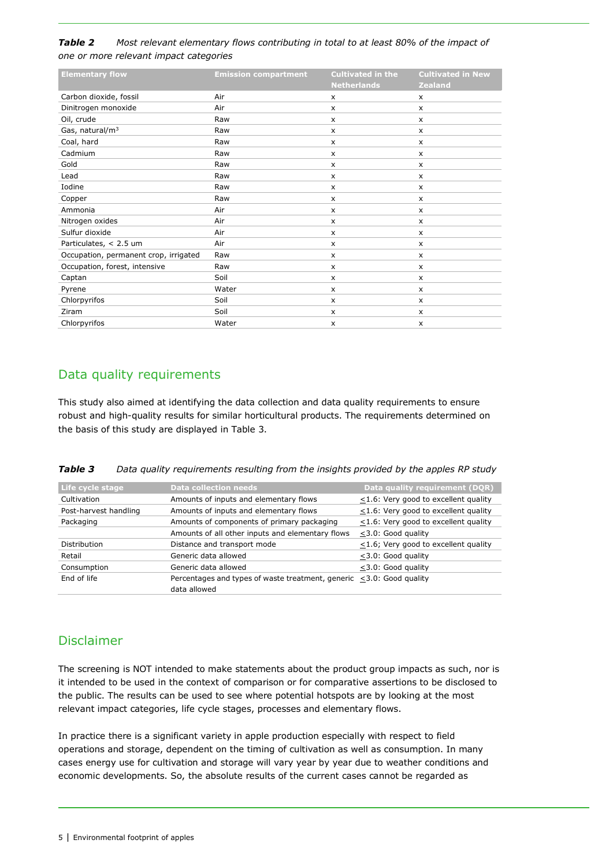#### *Table 2 Most relevant elementary flows contributing in total to at least 80% of the impact of one or more relevant impact categories*

| <b>Elementary flow</b>                | <b>Emission compartment</b> | <b>Cultivated in the</b><br><b>Netherlands</b> | <b>Cultivated in New</b><br><b>Zealand</b> |
|---------------------------------------|-----------------------------|------------------------------------------------|--------------------------------------------|
| Carbon dioxide, fossil                | Air                         | X                                              | $\boldsymbol{\mathsf{x}}$                  |
| Dinitrogen monoxide                   | Air                         | $\boldsymbol{\mathsf{x}}$                      | $\mathsf{x}$                               |
| Oil, crude                            | Raw                         | X                                              | $\mathsf{x}$                               |
| Gas, natural/m <sup>3</sup>           | Raw                         | $\boldsymbol{\mathsf{x}}$                      | $\times$                                   |
| Coal, hard                            | Raw                         | $\boldsymbol{\mathsf{x}}$                      | $\times$                                   |
| Cadmium                               | Raw                         | $\mathsf{x}$                                   | $\mathsf{x}$                               |
| Gold                                  | Raw                         | X                                              | X                                          |
| Lead                                  | Raw                         | $\mathsf{x}$                                   | $\times$                                   |
| Iodine                                | Raw                         | X                                              | $\mathsf{x}$                               |
| Copper                                | Raw                         | $\boldsymbol{\mathsf{x}}$                      | $\times$                                   |
| Ammonia                               | Air                         | X                                              | $\times$                                   |
| Nitrogen oxides                       | Air                         | X                                              | x                                          |
| Sulfur dioxide                        | Air                         | $\boldsymbol{\mathsf{x}}$                      | X                                          |
| Particulates, < 2.5 um                | Air                         | $\boldsymbol{\mathsf{x}}$                      | $\mathsf{x}$                               |
| Occupation, permanent crop, irrigated | Raw                         | X                                              | $\mathsf{x}$                               |
| Occupation, forest, intensive         | Raw                         | $\boldsymbol{\mathsf{x}}$                      | X                                          |
| Captan                                | Soil                        | X                                              | $\times$                                   |
| Pyrene                                | Water                       | X                                              | x                                          |
| Chlorpyrifos                          | Soil                        | X                                              | $\times$                                   |
| Ziram                                 | Soil                        | X                                              | $\times$                                   |
| Chlorpyrifos                          | Water                       | X                                              | $\boldsymbol{\mathsf{x}}$                  |

# Data quality requirements

This study also aimed at identifying the data collection and data quality requirements to ensure robust and high-quality results for similar horticultural products. The requirements determined on the basis of this study are displayed in Table 3.

| Table 3 | Data quality requirements resulting from the insights provided by the apples RP study |  |  |  |
|---------|---------------------------------------------------------------------------------------|--|--|--|
|---------|---------------------------------------------------------------------------------------|--|--|--|

| Life cycle stage      | <b>Data collection needs</b>                                         | Data quality requirement (DQR)             |
|-----------------------|----------------------------------------------------------------------|--------------------------------------------|
| Cultivation           | Amounts of inputs and elementary flows                               | $\leq$ 1.6: Very good to excellent quality |
| Post-harvest handling | Amounts of inputs and elementary flows                               | $\leq$ 1.6: Very good to excellent quality |
| Packaging             | Amounts of components of primary packaging                           | $\leq$ 1.6: Very good to excellent quality |
|                       | Amounts of all other inputs and elementary flows                     | <3.0: Good quality                         |
| Distribution          | Distance and transport mode                                          | $\leq$ 1.6; Very good to excellent quality |
| Retail                | Generic data allowed                                                 | <3.0: Good quality                         |
| Consumption           | Generic data allowed                                                 | <3.0: Good quality                         |
| End of life           | Percentages and types of waste treatment, generic <3.0: Good quality |                                            |
|                       | data allowed                                                         |                                            |

# Disclaimer

The screening is NOT intended to make statements about the product group impacts as such, nor is it intended to be used in the context of comparison or for comparative assertions to be disclosed to the public. The results can be used to see where potential hotspots are by looking at the most relevant impact categories, life cycle stages, processes and elementary flows.

In practice there is a significant variety in apple production especially with respect to field operations and storage, dependent on the timing of cultivation as well as consumption. In many cases energy use for cultivation and storage will vary year by year due to weather conditions and economic developments. So, the absolute results of the current cases cannot be regarded as